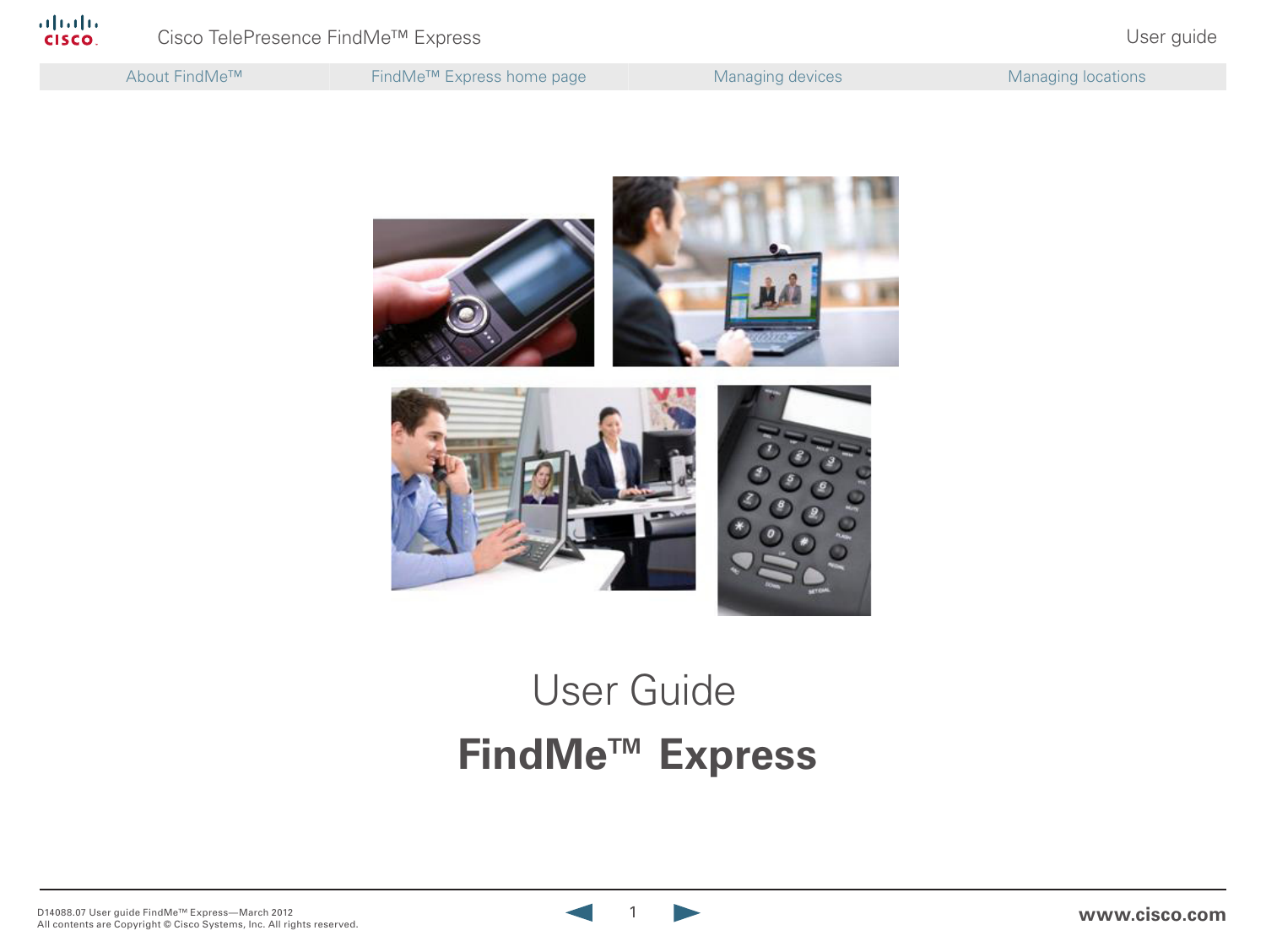| About FindMe™ | FindMe <sup>™</sup> Express home page | <b>Managing devices</b> | Managing locations |
|---------------|---------------------------------------|-------------------------|--------------------|
|               |                                       |                         |                    |



# **FindMe™ Express** User Guide

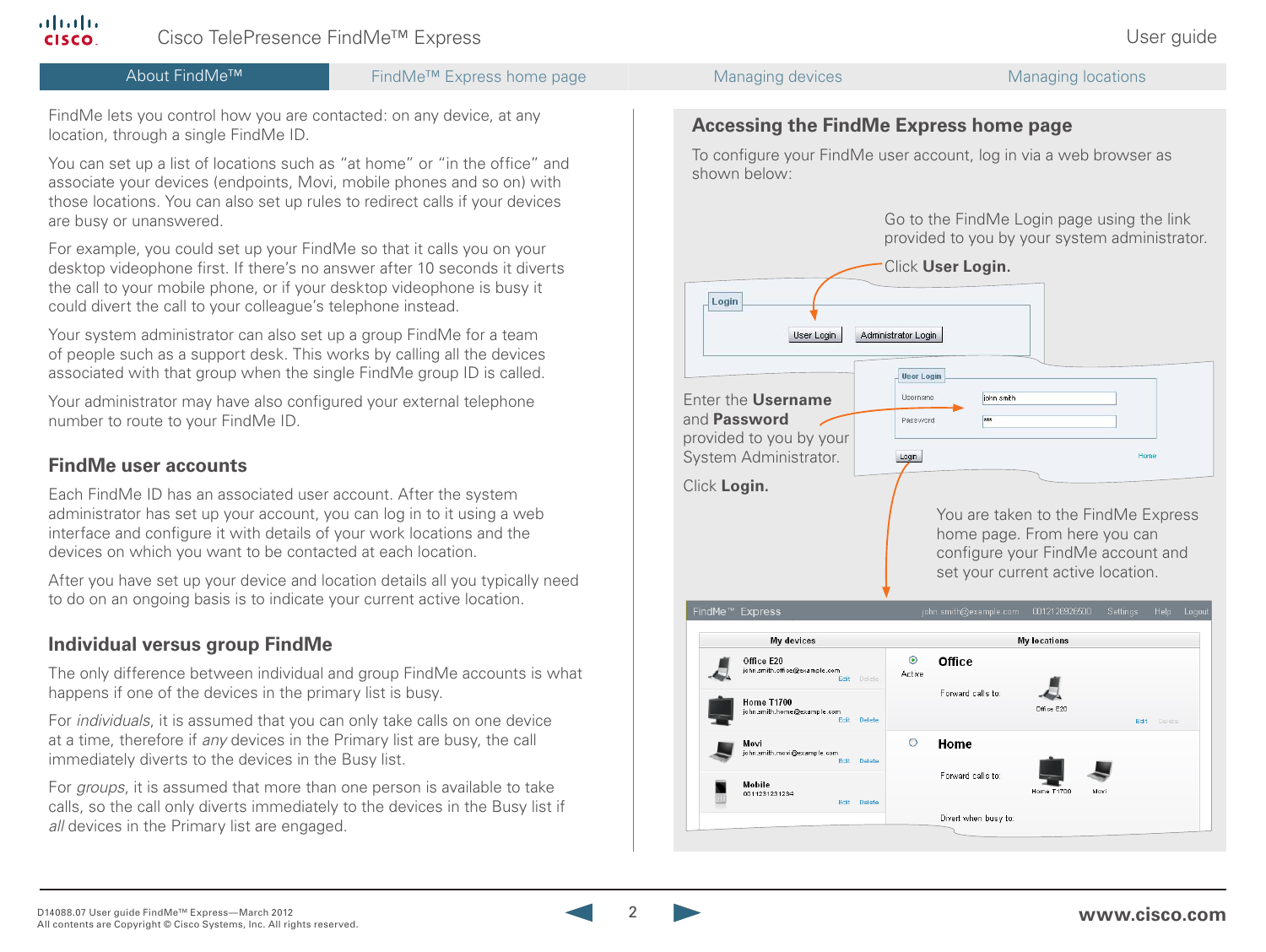

**CISCO** 

alnılıc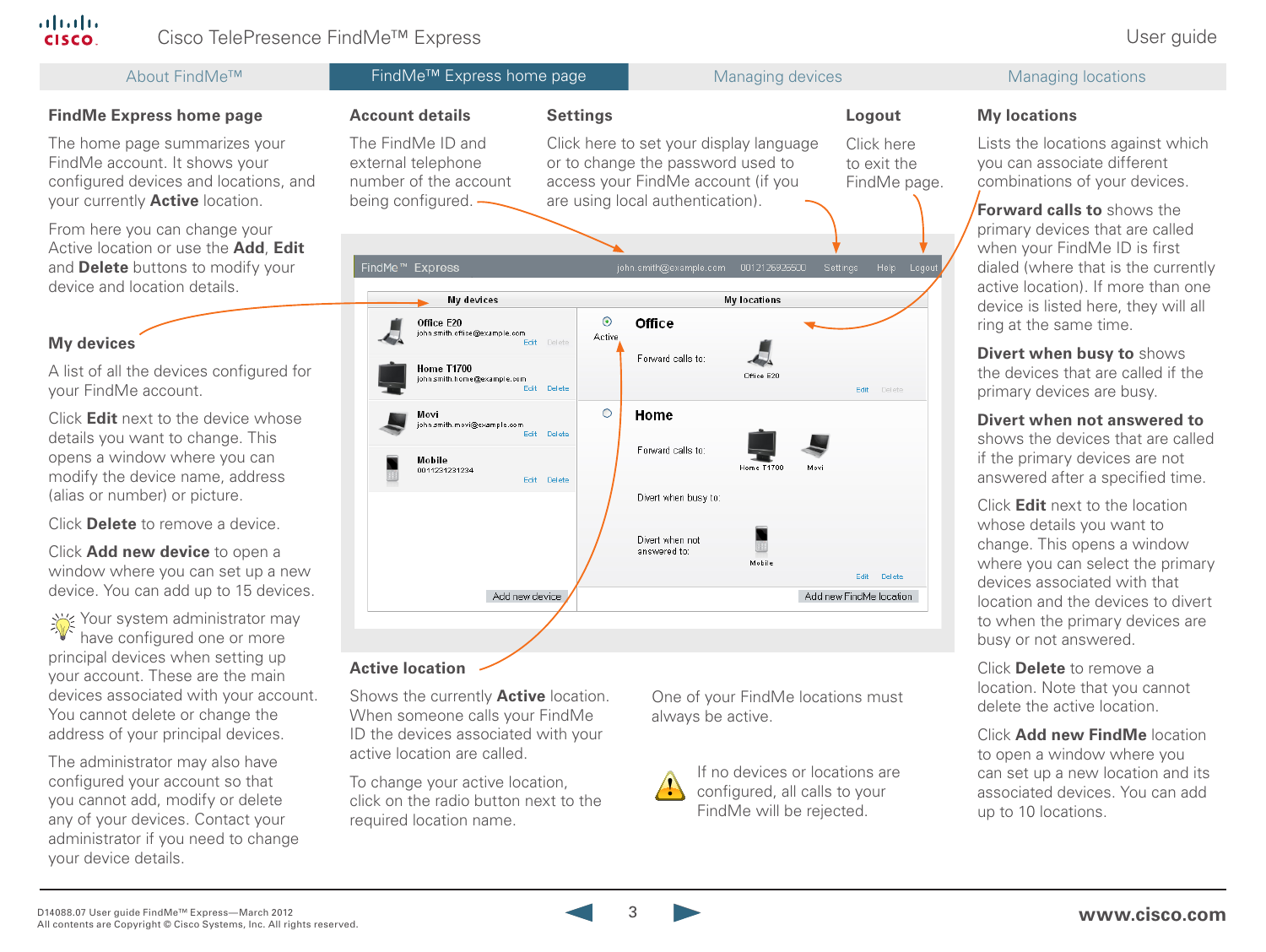### almlu. Cisco TelePresence FindMe<sup>™</sup> Express in the extension of the extension of the User guide

| About FindMe™                                                                                                                                     | FindMe <sup>™</sup> Express home page                                                                                                                                                                                                                                                                                                                                                                                                    |                                      | Managing devices                  |                        | <b>Managing locations</b>                                                                                                                    |
|---------------------------------------------------------------------------------------------------------------------------------------------------|------------------------------------------------------------------------------------------------------------------------------------------------------------------------------------------------------------------------------------------------------------------------------------------------------------------------------------------------------------------------------------------------------------------------------------------|--------------------------------------|-----------------------------------|------------------------|----------------------------------------------------------------------------------------------------------------------------------------------|
| <b>FindMe Express home page</b>                                                                                                                   | <b>Account details</b>                                                                                                                                                                                                                                                                                                                                                                                                                   | <b>Settings</b>                      |                                   | Logout                 | <b>My locations</b>                                                                                                                          |
| The home page summarizes your<br>FindMe account. It shows your<br>configured devices and locations, and<br>your currently <b>Active</b> location. | The FindMe ID and<br>Click here to set your display language<br>Click here<br>Lists the locations against which<br>external telephone<br>or to change the password used to<br>to exit the<br>you can associate different<br>access your FindMe account (if you<br>number of the account<br>FindMe page.<br>combinations of your devices.<br>being configured. -<br>are using local authentication).<br><b>Forward calls to shows the</b> |                                      |                                   |                        |                                                                                                                                              |
| From here you can change your<br>Active location or use the Add, Edit<br>and Delete buttons to modify your<br>device and location details.        | FindMe <sup>™</sup> Express                                                                                                                                                                                                                                                                                                                                                                                                              | john.smith@example.com 0012126926500 |                                   | Help Logot<br>Settings | primary devices that are called<br>when your FindMe ID is first<br>dialed (where that is the currently<br>active location). If more than one |
|                                                                                                                                                   | <b>My devices</b><br>Office E20                                                                                                                                                                                                                                                                                                                                                                                                          | $\odot$<br>Office                    | <b>My locations</b>               |                        | device is listed here, they will all                                                                                                         |
| <b>My devices</b>                                                                                                                                 | ohn.smith.office@example.com                                                                                                                                                                                                                                                                                                                                                                                                             | Active<br>Delete                     |                                   |                        | ring at the same time.                                                                                                                       |
| A list of all the devices configured for<br>your FindMe account.                                                                                  | Home T1700<br>ohn.smith.home@example.com                                                                                                                                                                                                                                                                                                                                                                                                 | Forward calls to:<br>Edit Delete     | Office E20                        | Edit Delete            | Divert when busy to shows<br>the devices that are called if the<br>primary devices are busy.                                                 |
| Click Edit next to the device whose                                                                                                               | Movi<br>ohn.smith.movi@example.com                                                                                                                                                                                                                                                                                                                                                                                                       | $\circ$<br>Home<br>Edit Delete       |                                   |                        | Divert when not answered to                                                                                                                  |
| details you want to change. This<br>opens a window where you can<br>modify the device name, address                                               | Mobile<br>0011231231234                                                                                                                                                                                                                                                                                                                                                                                                                  | Forward calls to:<br>Edit Delete     | Home T1700                        |                        | shows the devices that are called<br>if the primary devices are not<br>answered after a specified time.                                      |
| (alias or number) or picture.                                                                                                                     |                                                                                                                                                                                                                                                                                                                                                                                                                                          | Divert when busy to:                 |                                   |                        | Click Edit next to the location                                                                                                              |
| Click <b>Delete</b> to remove a device.                                                                                                           |                                                                                                                                                                                                                                                                                                                                                                                                                                          | Divert when not                      |                                   |                        | whose details you want to                                                                                                                    |
| Click Add new device to open a<br>window where you can set up a new<br>device. You can add up to 15 devices.                                      | Add new device                                                                                                                                                                                                                                                                                                                                                                                                                           | answered to:                         | Mobile<br>Add new FindMe location | Edit Delete            | change. This opens a window<br>where you can select the primary<br>devices associated with that<br>location and the devices to divert        |
| Your system administrator may<br>have configured one or more                                                                                      |                                                                                                                                                                                                                                                                                                                                                                                                                                          |                                      |                                   |                        | to when the primary devices are<br>busy or not answered.                                                                                     |
| principal devices when setting up<br>your account. These are the main<br>devices associated with your account                                     | <b>Active location</b><br>Showe the currently <b>Active</b> location                                                                                                                                                                                                                                                                                                                                                                     |                                      | One of your FindMo locations must |                        | Click Delete to remove a<br>location. Note that you cannot                                                                                   |

your accour devices associated with your account. You cannot delete or change the address of your principal devices.

**CISCO** 

The administrator may also have configured your account so that you cannot add, modify or delete any of your devices. Contact your administrator if you need to change your device details.

Shows the currently **Active** location. When someone calls your FindMe ID the devices associated with your active location are called.

To change your active location, click on the radio button next to the required location name.

One of your FindMe locations must always be active.



If no devices or locations are configured, all calls to your FindMe will be rejected.

delete the active location.

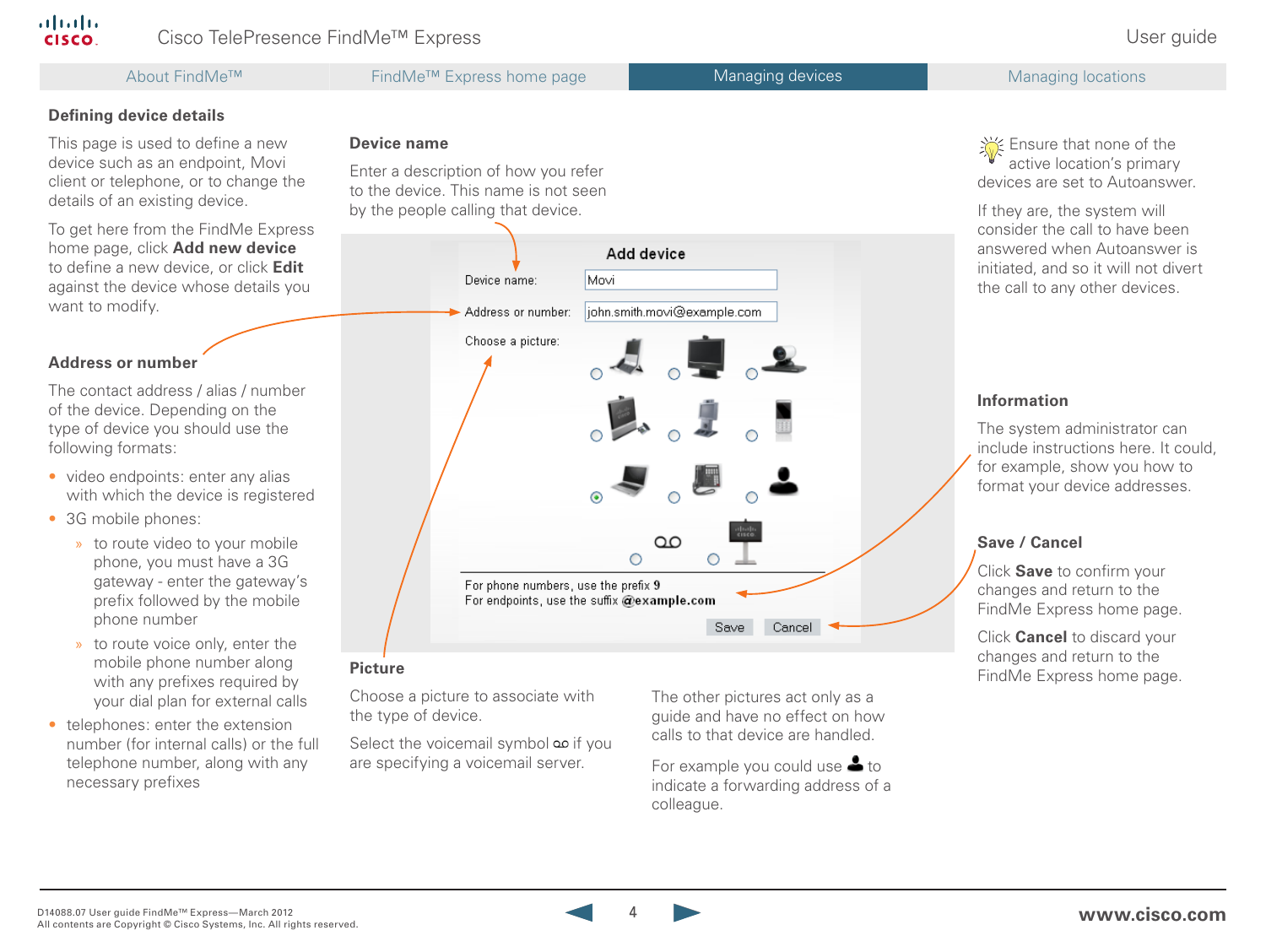## Cisco TelePresence FindMe<sup>™</sup> Express in the contract of the contract of the User guide

This page is used to define a new device such as an endpoint, Movi client or telephone, or to change the

To get here from the FindMe Express home page, click **Add new device** to define a new device, or click **Edit** against the device whose details you

The contact address / alias / number of the device. Depending on the type of device you should use the

• video endpoints: enter any alias with which the device is registered

> » to route video to your mobile phone, you must have a 3G gateway - enter the gateway's prefix followed by the mobile

» to route voice only, enter the mobile phone number along with any prefixes required by your dial plan for external calls

• telephones: enter the extension number (for internal calls) or the full telephone number, along with any

**Defining device details**

details of an existing device.

want to modify.

**Address or number**

following formats:

• 3G mobile phones:

phone number

necessary prefixes

About FindMe™ FindMe™ Express home page Managing devices Managing devices Managing locations

### **Device name**

Enter a description of how you refer to the device. This name is not seen by the people calling that device.



Choose a picture to associate with the type of device.

Select the voicemail symbol if you are specifying a voicemail server.

The other pictures act only as a guide and have no effect on how calls to that device are handled.

For example you could use  $\triangle$  to indicate a forwarding address of a colleague.

Section Ensure that none of the active location's primary devices are set to Autoanswer.

If they are, the system will consider the call to have been answered when Autoanswer is initiated, and so it will not divert the call to any other devices.

### **Information**

The system administrator can include instructions here. It could, for example, show you how to format your device addresses.

### **Save / Cancel**

Click **Save** to confirm your changes and return to the FindMe Express home page.

Click **Cancel** to discard your changes and return to the FindMe Express home page. **Picture**

4 **www.cisco.com**



### alialia **CISCO**